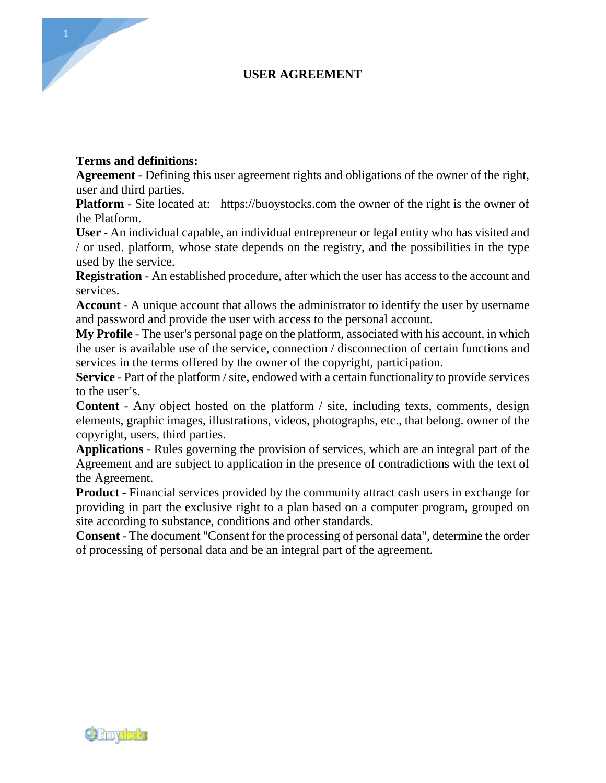# **USER AGREEMENT**

# **Terms and definitions:**

**Agreement** - Defining this user agreement rights and obligations of the owner of the right, user and third parties.

**Platform** - Site located at: https://buoystocks.com the owner of the right is the owner of the Platform.

**User** - An individual capable, an individual entrepreneur or legal entity who has visited and / or used. platform, whose state depends on the registry, and the possibilities in the type used by the service.

**Registration** - An established procedure, after which the user has access to the account and services.

**Account** - A unique account that allows the administrator to identify the user by username and password and provide the user with access to the personal account.

**My Profile** - The user's personal page on the platform, associated with his account, in which the user is available use of the service, connection / disconnection of certain functions and services in the terms offered by the owner of the copyright, participation.

**Service** - Part of the platform / site, endowed with a certain functionality to provide services to the user's.

**Content** - Any object hosted on the platform / site, including texts, comments, design elements, graphic images, illustrations, videos, photographs, etc., that belong. owner of the copyright, users, third parties.

**Applications** - Rules governing the provision of services, which are an integral part of the Agreement and are subject to application in the presence of contradictions with the text of the Agreement.

**Product** - Financial services provided by the community attract cash users in exchange for providing in part the exclusive right to a plan based on a computer program, grouped on site according to substance, conditions and other standards.

**Consent** - The document "Consent for the processing of personal data", determine the order of processing of personal data and be an integral part of the agreement.



1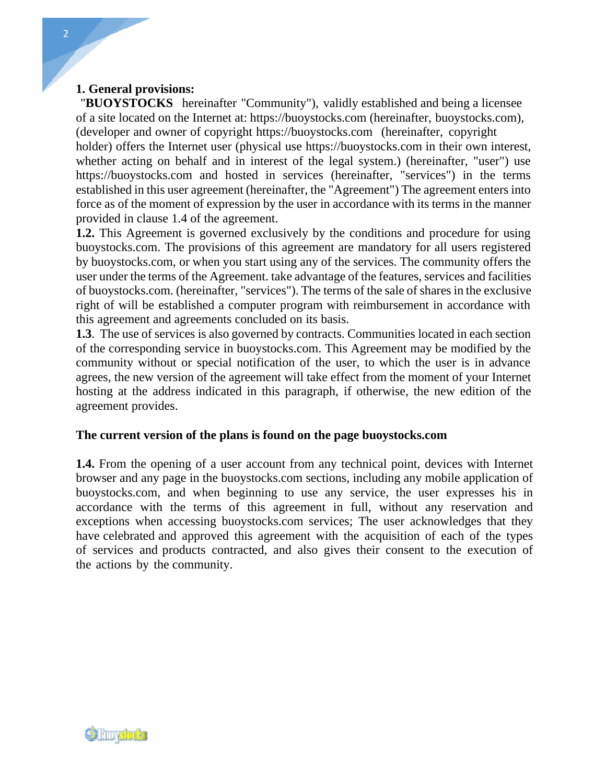# **1. General provisions:**

"**BUOYSTOCKS** hereinafter "Community"), validly established and being a licensee of a site located on the Internet at: https://buoystocks.com (hereinafter, buoystocks.com), (developer and owner of copyright https://buoystocks.com (hereinafter, copyright holder) offers the Internet user (physical use https://buoystocks.com in their own interest, whether acting on behalf and in interest of the legal system.) (hereinafter, "user") use https://buoystocks.com and hosted in services (hereinafter, "services") in the terms established in this user agreement (hereinafter, the "Agreement") The agreement enters into force as of the moment of expression by the user in accordance with its terms in the manner provided in clause 1.4 of the agreement.

**1.2.** This Agreement is governed exclusively by the conditions and procedure for using buoystocks.com. The provisions of this agreement are mandatory for all users registered by buoystocks.com, or when you start using any of the services. The community offers the user under the terms of the Agreement. take advantage of the features, services and facilities of buoystocks.com. (hereinafter, "services"). The terms of the sale of shares in the exclusive right of will be established a computer program with reimbursement in accordance with this agreement and agreements concluded on its basis.

**1.3**. The use of services is also governed by contracts. Communities located in each section of the corresponding service in buoystocks.com. This Agreement may be modified by the community without or special notification of the user, to which the user is in advance agrees, the new version of the agreement will take effect from the moment of your Internet hosting at the address indicated in this paragraph, if otherwise, the new edition of the agreement provides.

# **The current version of the plans is found on the page buoystocks.com**

**1.4.** From the opening of a user account from any technical point, devices with Internet browser and any page in the buoystocks.com sections, including any mobile application of buoystocks.com, and when beginning to use any service, the user expresses his in accordance with the terms of this agreement in full, without any reservation and exceptions when accessing buoystocks.com services; The user acknowledges that they have celebrated and approved this agreement with the acquisition of each of the types of services and products contracted, and also gives their consent to the execution of the actions by the community.

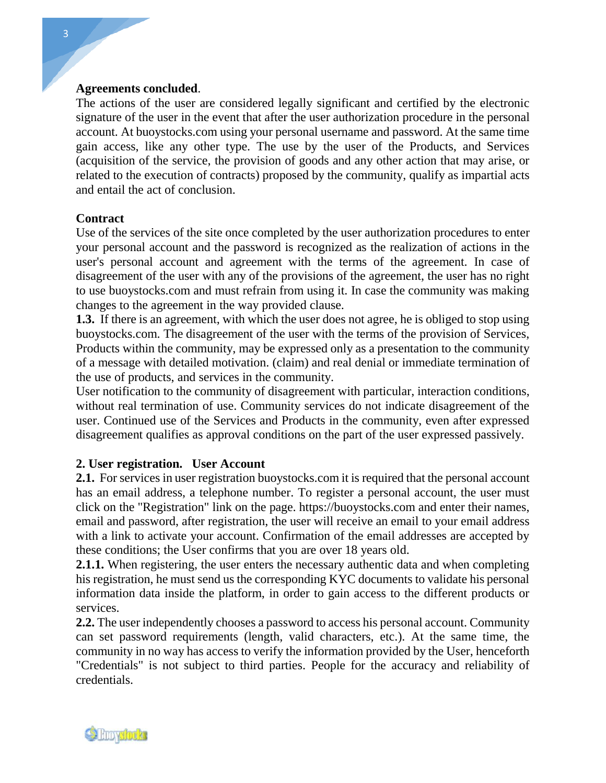## **Agreements concluded**.

The actions of the user are considered legally significant and certified by the electronic signature of the user in the event that after the user authorization procedure in the personal account. At buoystocks.com using your personal username and password. At the same time gain access, like any other type. The use by the user of the Products, and Services (acquisition of the service, the provision of goods and any other action that may arise, or related to the execution of contracts) proposed by the community, qualify as impartial acts and entail the act of conclusion.

# **Contract**

Use of the services of the site once completed by the user authorization procedures to enter your personal account and the password is recognized as the realization of actions in the user's personal account and agreement with the terms of the agreement. In case of disagreement of the user with any of the provisions of the agreement, the user has no right to use buoystocks.com and must refrain from using it. In case the community was making changes to the agreement in the way provided clause.

**1.3.** If there is an agreement, with which the user does not agree, he is obliged to stop using buoystocks.com. The disagreement of the user with the terms of the provision of Services, Products within the community, may be expressed only as a presentation to the community of a message with detailed motivation. (claim) and real denial or immediate termination of the use of products, and services in the community.

User notification to the community of disagreement with particular, interaction conditions, without real termination of use. Community services do not indicate disagreement of the user. Continued use of the Services and Products in the community, even after expressed disagreement qualifies as approval conditions on the part of the user expressed passively. **2. User notification to the community of disagrement contribution**<br>without real termination of use. Community<br>user. Continued use of the Services and Pro<br>disagreement qualifies as approval condition<br>2. User registration.

**2.1.** For services in user registration buoystocks.com it is required that the personal account has an email address, a telephone number. To register a personal account, the user must click on the "Registration" link on the page. https://buoystocks.com and enter their names, email and password, after registration, the user will receive an email to your email address with a link to activate your account. Confirmation of the email addresses are accepted by these conditions; the User confirms that you are over 18 years old.

**2.1.1.** When registering, the user enters the necessary authentic data and when completing his registration, he must send us the corresponding KYC documents to validate his personal information data inside the platform, in order to gain access to the different products or services.

**2.2.** The user independently chooses a password to access his personal account. Community can set password requirements (length, valid characters, etc.). At the same time, the community in no way has access to verify the information provided by the User, henceforth "Credentials" is not subject to third parties. People for the accuracy and reliability of credentials.

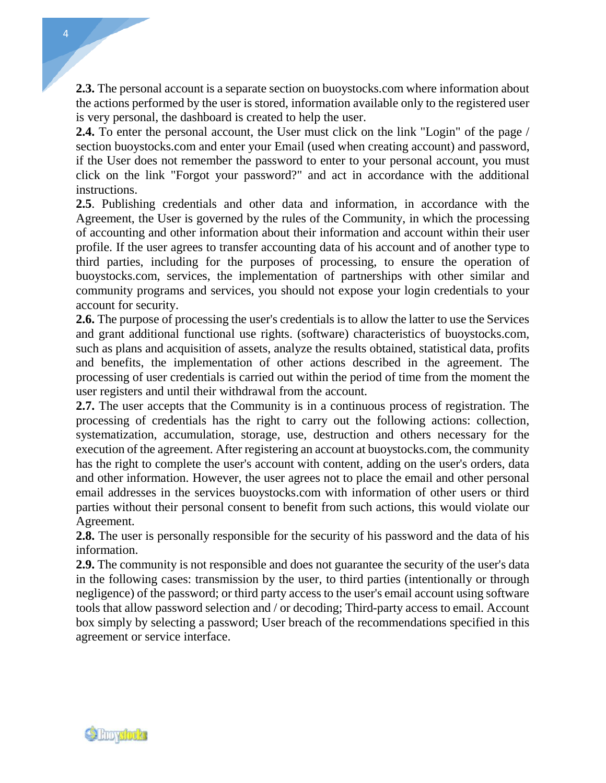**2.3.** The personal account is a separate section on buoystocks.com where information about the actions performed by the user is stored, information available only to the registered user is very personal, the dashboard is created to help the user.

**2.4.** To enter the personal account, the User must click on the link "Login" of the page / section buoystocks.com and enter your Email (used when creating account) and password, if the User does not remember the password to enter to your personal account, you must click on the link "Forgot your password?" and act in accordance with the additional instructions.

**2.5**. Publishing credentials and other data and information, in accordance with the Agreement, the User is governed by the rules of the Community, in which the processing of accounting and other information about their information and account within their user profile. If the user agrees to transfer accounting data of his account and of another type to third parties, including for the purposes of processing, to ensure the operation of buoystocks.com, services, the implementation of partnerships with other similar and community programs and services, you should not expose your login credentials to your account for security.

**2.6.** The purpose of processing the user's credentials is to allow the latter to use the Services and grant additional functional use rights. (software) characteristics of buoystocks.com, such as plans and acquisition of assets, analyze the results obtained, statistical data, profits and benefits, the implementation of other actions described in the agreement. The processing of user credentials is carried out within the period of time from the moment the user registers and until their withdrawal from the account.

**2.7.** The user accepts that the Community is in a continuous process of registration. The processing of credentials has the right to carry out the following actions: collection, systematization, accumulation, storage, use, destruction and others necessary for the execution of the agreement. After registering an account at buoystocks.com, the community has the right to complete the user's account with content, adding on the user's orders, data and other information. However, the user agrees not to place the email and other personal email addresses in the services buoystocks.com with information of other users or third parties without their personal consent to benefit from such actions, this would violate our Agreement.

**2.8.** The user is personally responsible for the security of his password and the data of his information.

**2.9.** The community is not responsible and does not guarantee the security of the user's data in the following cases: transmission by the user, to third parties (intentionally or through negligence) of the password; or third party access to the user's email account using software tools that allow password selection and / or decoding; Third-party access to email. Account box simply by selecting a password; User breach of the recommendations specified in this agreement or service interface.



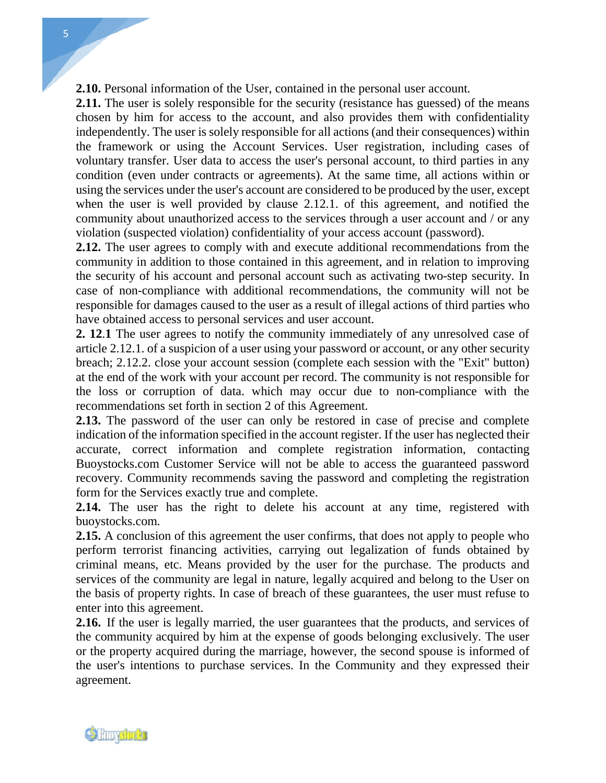**2.10.** Personal information of the User, contained in the personal user account.

**2.11.** The user is solely responsible for the security (resistance has guessed) of the means chosen by him for access to the account, and also provides them with confidentiality independently. The user is solely responsible for all actions (and their consequences) within the framework or using the Account Services. User registration, including cases of voluntary transfer. User data to access the user's personal account, to third parties in any condition (even under contracts or agreements). At the same time, all actions within or using the services under the user's account are considered to be produced by the user, except when the user is well provided by clause 2.12.1. of this agreement, and notified the community about unauthorized access to the services through a user account and / or any violation (suspected violation) confidentiality of your access account (password).

**2.12.** The user agrees to comply with and execute additional recommendations from the community in addition to those contained in this agreement, and in relation to improving the security of his account and personal account such as activating two-step security. In case of non-compliance with additional recommendations, the community will not be responsible for damages caused to the user as a result of illegal actions of third parties who have obtained access to personal services and user account. **2. 12**.**<sup>1</sup>** The user agrees to notify the community immediately of any unresolved case of article 2.12.1. of a suspicion of a user using your password or account, or any other security

breach; 2.12.2. close your account session (complete each session with the "Exit" button) at the end of the work with your account per record. The community is not responsible for the loss or corruption of data. which may occur due to non-compliance with the recommendations set forth in section 2 of this Agreement.

**2.13.** The password of the user can only be restored in case of precise and complete indication of the information specified in the account register. If the user has neglected their accurate, correct information and complete registration information, contacting Buoystocks.com Customer Service will not be able to access the guaranteed password recovery. Community recommends saving the password and completing the registration form for the Services exactly true and complete.

**2.14.** The user has the right to delete his account at any time, registered with buoystocks.com.

**2.15.** A conclusion of this agreement the user confirms, that does not apply to people who perform terrorist financing activities, carrying out legalization of funds obtained by criminal means, etc. Means provided by the user for the purchase. The products and services of the community are legal in nature, legally acquired and belong to the User on the basis of property rights. In case of breach of these guarantees, the user must refuse to enter into this agreement.

**2.16.** If the user is legally married, the user guarantees that the products, and services of the community acquired by him at the expense of goods belonging exclusively. The user or the property acquired during the marriage, however, the second spouse is informed of the user's intentions to purchase services. In the Community and they expressed their agreement.

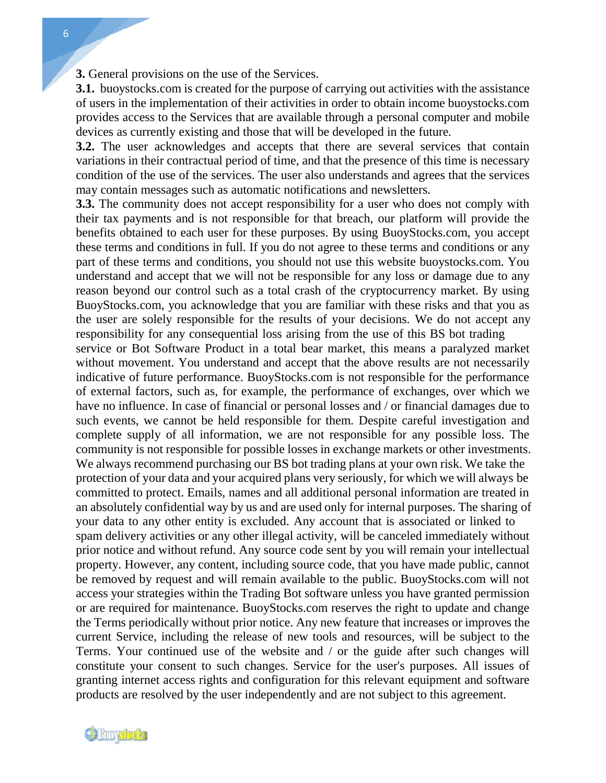**3.** General provisions on the use of the Services.

**3.1.** buoystocks.com is created for the purpose of carrying out activities with the assistance of users in the implementation of their activities in order to obtain income buoystocks.com provides access to the Services that are available through a personal computer and mobile devices as currently existing and those that will be developed in the future.

**3.2.** The user acknowledges and accepts that there are several services that contain variations in their contractual period of time, and that the presence of this time is necessary condition of the use of the services. The user also understands and agrees that the services may contain messages such as automatic notifications and newsletters.

**3.3.** The community does not accept responsibility for a user who does not comply with their tax payments and is not responsible for that breach, our platform will provide the benefits obtained to each user for these purposes. By using BuoyStocks.com, you accept these terms and conditions in full. If you do not agree to these terms and conditions or any part of these terms and conditions, you should not use this website buoystocks.com. You understand and accept that we will not be responsible for any loss or damage due to any reason beyond our control such as a total crash of the cryptocurrency market. By using BuoyStocks.com, you acknowledge that you are familiar with these risks and that you as the user are solely responsible for the results of your decisions. We do not accept any responsibility for any consequential loss arising from the use of this BS bot trading service or Bot Software Product in a total bear market, this means a paralyzed market without movement. You understand and accept that the above results are not necessarily indicative of future performance. BuoyStocks.com is not responsible for the performance of external factors, such as, for example, the performance of exchanges, over which we have no influence. In case of financial or personal losses and / or financial damages due to such events, we cannot be held responsible for them. Despite careful investigation and complete supply of all information, we are not responsible for any possible loss. The community is not responsible for possible losses in exchange markets or other investments. We always recommend purchasing our BS bot trading plans at your own risk. We take the protection of your data and your acquired plans very seriously, for which we will always be committed to protect. Emails, names and all additional personal information are treated in an absolutely confidential way by us and are used only for internal purposes. The sharing of your data to any other entity is excluded. Any account that is associated or linked to spam delivery activities or any other illegal activity, will be canceled immediately without prior notice and without refund. Any source code sent by you will remain your intellectual property. However, any content, including source code, that you have made public, cannot be removed by request and will remain available to the public. BuoyStocks.com will not access your strategies within the Trading Bot software unless you have granted permission or are required for maintenance. BuoyStocks.com reserves the right to update and change the Terms periodically without prior notice. Any new feature that increases or improves the current Service, including the release of new tools and resources, will be subject to the Terms. Your continued use of the website and / or the guide after such changes will constitute your consent to such changes. Service for the user's purposes. All issues of granting internet access rights and configuration for this relevant equipment and software products are resolved by the user independently and are not subject to this agreement.



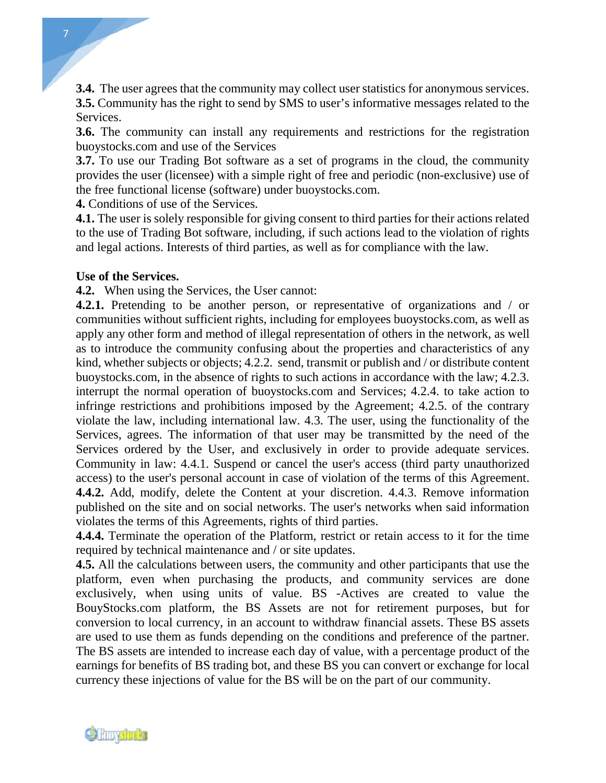**3.4.** The user agrees that the community may collect user statistics for anonymous services. **3.5.** Community has the right to send by SMS to user's informative messages related to the Services.

**3.6.** The community can install any requirements and restrictions for the registration buoystocks.com and use of the Services

**3.7.** To use our Trading Bot software as a set of programs in the cloud, the community provides the user (licensee) with a simple right of free and periodic (non-exclusive) use of the free functional license (software) under buoystocks.com.

**4.** Conditions of use of the Services.

**4.1.** The user is solely responsible for giving consent to third parties for their actions related to the use of Trading Bot software, including, if such actions lead to the violation of rights and legal actions. Interests of third parties, as well as for compliance with the law.

## **Use of the Services.**

**4.2.** When using the Services, the User cannot:

**4.2.1.** Pretending to be another person, or representative of organizations and / or communities without sufficient rights, including for employees buoystocks.com, as well as apply any other form and method of illegal representation of others in the network, as well as to introduce the community confusing about the properties and characteristics of any kind, whether subjects or objects; 4.2.2. send, transmit or publish and / or distribute content buoystocks.com, in the absence of rights to such actions in accordance with the law; 4.2.3. interrupt the normal operation of buoystocks.com and Services; 4.2.4. to take action to infringe restrictions and prohibitions imposed by the Agreement; 4.2.5. of the contrary violate the law, including international law. 4.3. The user, using the functionality of the Services, agrees. The information of that user may be transmitted by the need of the Services ordered by the User, and exclusively in order to provide adequate services. Community in law: 4.4.1. Suspend or cancel the user's access (third party unauthorized access) to the user's personal account in case of violation of the terms of this Agreement. **4.4.2.** Add, modify, delete the Content at your discretion. 4.4.3. Remove information published on the site and on social networks. The user's networks when said information violates the terms of this Agreements, rights of third parties.

**4.4.4.** Terminate the operation of the Platform, restrict or retain access to it for the time required by technical maintenance and / or site updates.

**4.5.** All the calculations between users, the community and other participants that use the platform, even when purchasing the products, and community services are done exclusively, when using units of value. BS -Actives are created to value the BouyStocks.com platform, the BS Assets are not for retirement purposes, but for conversion to local currency, in an account to withdraw financial assets. These BS assets are used to use them as funds depending on the conditions and preference of the partner. The BS assets are intended to increase each day of value, with a percentage product of the earnings for benefits of BS trading bot, and these BS you can convert or exchange for local currency these injections of value for the BS will be on the part of our community.



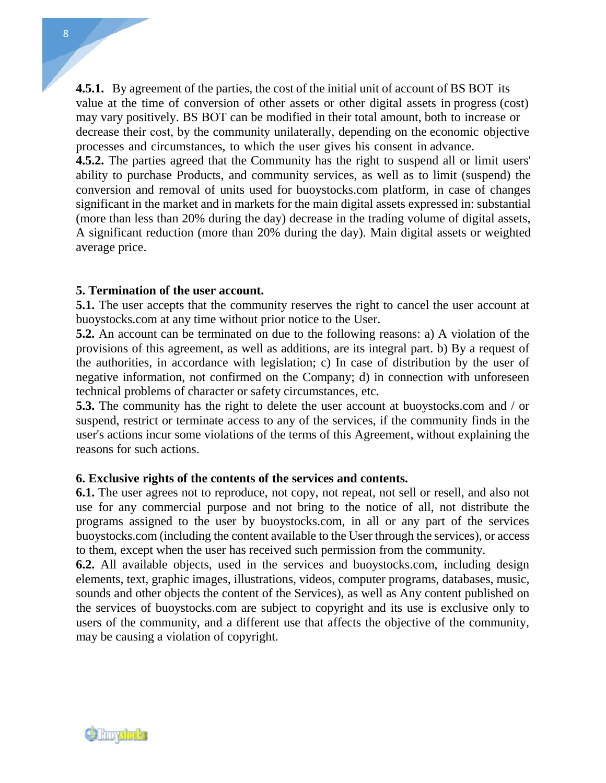**4.5.1.** By agreement of the parties, the cost of the initial unit of account of BS BOT its value at the time of conversion of other assets or other digital assets in progress (cost) may vary positively. BS BOT can be modified in their total amount, both to increase or decrease their cost, by the community unilaterally, depending on the economic objective processes and circumstances, to which the user gives his consent in advance.

**4.5.2.** The parties agreed that the Community has the right to suspend all or limit users' ability to purchase Products, and community services, as well as to limit (suspend) the conversion and removal of units used for buoystocks.com platform, in case of changes significant in the market and in markets for the main digital assets expressed in: substantial (more than less than 20% during the day) decrease in the trading volume of digital assets, A significant reduction (more than 20% during the day). Main digital assets or weighted average price.

## **5. Termination of the user account.**

**5.1.** The user accepts that the community reserves the right to cancel the user account at buoystocks.com at any time without prior notice to the User.

**5.2.** An account can be terminated on due to the following reasons: a) A violation of the provisions of this agreement, as well as additions, are its integral part. b) By a request of the authorities, in accordance with legislation; c) In case of distribution by the user of negative information, not confirmed on the Company; d) in connection with unforeseen technical problems of character or safety circumstances, etc.

**5.3.** The community has the right to delete the user account at buoystocks.com and / or suspend, restrict or terminate access to any of the services, if the community finds in the user's actions incur some violations of the terms of this Agreement, without explaining the reasons for such actions.

## **6. Exclusive rights of the contents of the services and contents.**

**6.1.** The user agrees not to reproduce, not copy, not repeat, not sell or resell, and also not use for any commercial purpose and not bring to the notice of all, not distribute the programs assigned to the user by buoystocks.com, in all or any part of the services buoystocks.com (including the content available to the User through the services), or access to them, except when the user has received such permission from the community.

**6.2.** All available objects, used in the services and buoystocks.com, including design elements, text, graphic images, illustrations, videos, computer programs, databases, music, sounds and other objects the content of the Services), as well as Any content published on the services of buoystocks.com are subject to copyright and its use is exclusive only to users of the community, and a different use that affects the objective of the community, may be causing a violation of copyright.

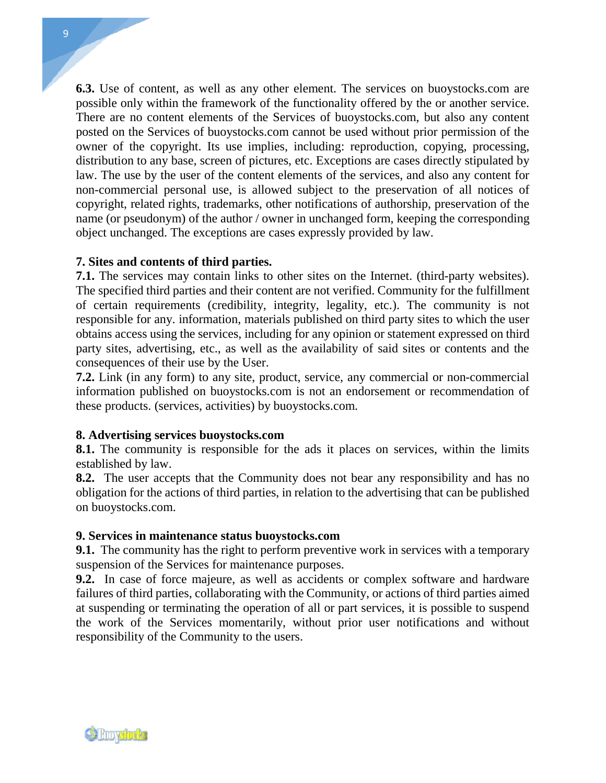9

**6.3.** Use of content, as well as any other element. The services on buoystocks.com are possible only within the framework of the functionality offered by the or another service. There are no content elements of the Services of buoystocks.com, but also any content posted on the Services of buoystocks.com cannot be used without prior permission of the owner of the copyright. Its use implies, including: reproduction, copying, processing, distribution to any base, screen of pictures, etc. Exceptions are cases directly stipulated by law. The use by the user of the content elements of the services, and also any content for non-commercial personal use, is allowed subject to the preservation of all notices of copyright, related rights, trademarks, other notifications of authorship, preservation of the name (or pseudonym) of the author / owner in unchanged form, keeping the corresponding object unchanged. The exceptions are cases expressly provided by law.

## **7. Sites and contents of third parties.**

**7.1.** The services may contain links to other sites on the Internet. (third-party websites). The specified third parties and their content are not verified. Community for the fulfillment of certain requirements (credibility, integrity, legality, etc.). The community is not responsible for any. information, materials published on third party sites to which the user obtains access using the services, including for any opinion or statement expressed on third party sites, advertising, etc., as well as the availability of said sites or contents and the consequences of their use by the User.

**7.2.** Link (in any form) to any site, product, service, any commercial or non-commercial information published on buoystocks.com is not an endorsement or recommendation of these products. (services, activities) by buoystocks.com.

# **8. Advertising services buoystocks.com**

**8.1.** The community is responsible for the ads it places on services, within the limits established by law.

**8.2.** The user accepts that the Community does not bear any responsibility and has no obligation for the actions of third parties, in relation to the advertising that can be published on buoystocks.com.

## **9. Services in maintenance status buoystocks.com**

**9.1.** The community has the right to perform preventive work in services with a temporary suspension of the Services for maintenance purposes.

**9.2.** In case of force majeure, as well as accidents or complex software and hardware failures of third parties, collaborating with the Community, or actions of third parties aimed at suspending or terminating the operation of all or part services, it is possible to suspend the work of the Services momentarily, without prior user notifications and without responsibility of the Community to the users.

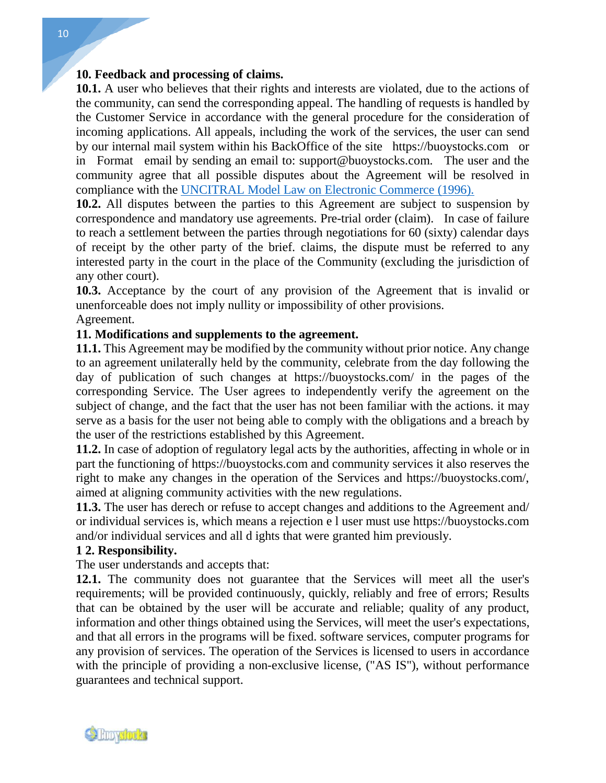**10. Feedback and processing of claims.**<br>**10.1.** A user who believes that their rights and the community can earl the corresponding and **10.1.** A user who believes that their rights and interests are violated, due to the actions of the community, can send the corresponding appeal. The handling of requests is handled by the Customer Service in accordance with the general procedure for the consideration of incoming applications. All appeals, including the work of the services, the user can send by our internal mail system within his BackOffice of the site https://buoystocks.com or in Format email by sending an email to: [support@buoystocks.com](mailto:support@buoystocks.com). The user and the community agree that all possible disputes about the Agreement will be resolved in compliance with the UNCITRAL Model Law on Electronic Commerce (1996).

**10.2.** All disputes between the parties to this Agreement are subject to suspension by correspondence and mandatory use agreements. Pre-trial order (claim). In case of failure to reach a settlement between the parties through negotiations for 60 (sixty) calendar days of receipt by the other party of the brief. claims, the dispute must be referred to any interested party in the court in the place of the Community (excluding the jurisdiction of any other court).

**10.3.** Acceptance by the court of any provision of the Agreement that is invalid or unenforceable does not imply nullity or impossibility of other provisions. **11. Modifications and supplements to the agreement.**<br> **10.3.** Acceptance by the court of any provision of the Aunenforceable does not imply nullity or impossibility of other Agreement.<br> **11. Modifications and supplements** 

Agreement.

**11.1.** This Agreement may be modified by the community without prior notice. Any change to an agreement unilaterally held by the community, celebrate from the day following the day of publication of such changes at https://buoystocks.com/ in the pages of the corresponding Service. The User agrees to independently verify the agreement on the subject of change, and the fact that the user has not been familiar with the actions. it may serve as a basis for the user not being able to comply with the obligations and a breach by the user of the restrictions established by this Agreement.

**11.2.** In case of adoption of regulatory legal acts by the authorities, affecting in whole or in part the functioning of https://buoystocks.com and community services it also reserves the right to make any changes in the operation of the Services and https://buoystocks.com/, aimed at aligning community activities with the new regulations.

**11.3.** The user has derech or refuse to accept changes and additions to the Agreement and/ or individual services is, which means a rejection e l user must use https://buoystocks.com and/or individual services and all d ights that were granted him previously.

### **1 2. Responsibility.**

The user understands and accepts that:

**12.1.** The community does not guarantee that the Services will meet all the user's requirements; will be provided continuously, quickly, reliably and free of errors; Results that can be obtained by the user will be accurate and reliable; quality of any product, information and other things obtained using the Services, will meet the user's expectations, and that all errors in the programs will be fixed. software services, computer programs for any provision of services. The operation of the Services is licensed to users in accordance with the principle of providing a non-exclusive license, ("AS IS"), without performance guarantees and technical support.